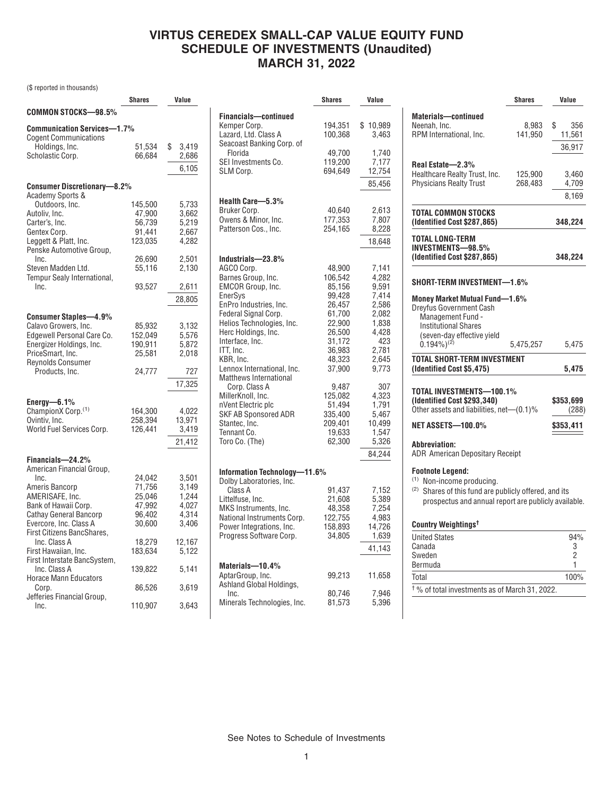### **VIRTUS CEREDEX SMALL-CAP VALUE EQUITY FUND SCHEDULE OF INVESTMENTS (Unaudited) MARCH 31, 2022**

(\$ reported in thousands)

|                                    | Shares  | Value       |
|------------------------------------|---------|-------------|
| COMMON STOCKS—98.5%                |         |             |
| Communication Services—1.7%        |         |             |
| <b>Cogent Communications</b>       |         |             |
| Holdings, Inc.                     | 51,534  | \$<br>3,419 |
| Scholastic Corp.                   | 66,684  | 2,686       |
|                                    |         | 6,105       |
|                                    |         |             |
| <b>Consumer Discretionary-8.2%</b> |         |             |
| <b>Academy Sports &amp;</b>        |         |             |
| Outdoors, Inc.                     | 145,500 | 5,733       |
| Autoliv, Inc.                      | 47,900  | 3,662       |
| Carter's, Inc.                     | 56,739  | 5,219       |
| Gentex Corp.                       | 91,441  | 2,667       |
| Leggett & Platt, Inc.              | 123,035 | 4,282       |
| Penske Automotive Group,           |         |             |
| Inc.                               | 26,690  | 2,501       |
| Steven Madden Ltd.                 | 55,116  | 2,130       |
| Tempur Sealy International,        |         |             |
| Inc.                               | 93,527  | 2,611       |
|                                    |         | 28,805      |
|                                    |         |             |
| Consumer Staples-4.9%              |         |             |
| Calavo Growers, Inc.               | 85,932  | 3,132       |
| Edgewell Personal Care Co.         | 152,049 | 5,576       |
| Energizer Holdings, Inc.           | 190,911 | 5,872       |
| PriceSmart, Inc.                   | 25,581  | 2,018       |
| Reynolds Consumer                  |         |             |
| Products, Inc.                     | 24,777  | 727         |
|                                    |         | 17,325      |
| Energy-6.1%                        |         |             |
| ChampionX Corp. <sup>(1)</sup>     | 164,300 | 4,022       |
| Ovintiv, Inc.                      | 258,394 | 13,971      |
| World Fuel Services Corp.          | 126,441 | 3,419       |
|                                    |         |             |
|                                    |         | 21,412      |
| Financials-24.2%                   |         |             |
| American Financial Group,          |         |             |
| Inc.                               | 24,042  | 3,501       |
| Ameris Bancorp                     | 71,756  | 3,149       |
| AMERISAFE, Inc.                    | 25,046  | 1,244       |
| Bank of Hawaii Corp.               | 47,992  | 4,027       |
| Cathay General Bancorp             | 96,402  | 4,314       |
| Evercore, Inc. Class A             | 30,600  | 3,406       |
| First Citizens BancShares,         |         |             |
| Inc. Class A                       | 18,279  | 12,167      |
| First Hawaiian, Inc.               | 183,634 | 5,122       |
| First Interstate BancSystem,       |         |             |
| Inc. Class A                       | 139,822 | 5,141       |
| <b>Horace Mann Educators</b>       |         |             |
| Corp.                              | 86,526  | 3,619       |
| Jefferies Financial Group,         |         |             |
| Inc.                               | 110,907 | 3,643       |

|                                                | Shares            | Value          |
|------------------------------------------------|-------------------|----------------|
| Financials-continued                           |                   |                |
| Kemper Corp.                                   | 194,351           | \$10,989       |
| Lazard, Ltd. Class A                           | 100,368           | 3,463          |
| Seacoast Banking Corp. of                      |                   |                |
| Florida                                        | 49,700            | 1,740          |
| SEI Investments Co.                            | 119,200           | 7,177          |
| SLM Corp.                                      | 694,649           | 12,754         |
|                                                |                   | 85,456         |
|                                                |                   |                |
| Health Care-5.3%                               |                   |                |
| Bruker Corp.                                   | 40,640            | 2,613          |
| Owens & Minor, Inc.                            | 177,353           | 7,807          |
| Patterson Cos., Inc.                           | 254,165           | 8,228          |
|                                                |                   | 18,648         |
|                                                |                   |                |
| Industrials-23.8%                              |                   |                |
| AGCO Corp.<br>Barnes Group, Inc.               | 48,900<br>106,542 | 7,141<br>4,282 |
| EMCOR Group, Inc.                              | 85,156            | 9,591          |
| EnerSys                                        | 99,428            | 7,414          |
| EnPro Industries, Inc.                         | 26,457            | 2,586          |
| Federal Signal Corp.                           | 61,700            | 2,082          |
| Helios Technologies, Inc.                      | 22,900            | 1,838          |
| Herc Holdings, Inc.                            | 26,500            | 4,428          |
| Interface, Inc.                                | 31,172            | 423            |
| ITT, Inc.                                      | 36,983            | 2,781          |
| KBR, Inc.                                      | 48,323            | 2,645          |
| Lennox International, Inc.                     | 37,900            | 9,773          |
| <b>Matthews International</b><br>Corp. Class A |                   | 307            |
| MillerKnoll, Inc.                              | 9,487<br>125,082  | 4,323          |
| nVent Electric plc                             | 51,494            | 1,791          |
| SKF AB Sponsored ADR                           | 335,400           | 5,467          |
| Stantec, Inc.                                  | 209,401           | 10,499         |
| Tennant Co.                                    | 19,633            | 1,547          |
| Toro Co. (The)                                 | 62,300            | 5,326          |
|                                                |                   | 84,244         |
|                                                |                   |                |
| Information Technology-11.6%                   |                   |                |
| Dolby Laboratories, Inc.<br>Class A            |                   |                |
| Littelfuse, Inc.                               | 91,437<br>21,608  | 7,152<br>5,389 |
| MKS Instruments, Inc.                          | 48,358            | 7,254          |
| National Instruments Corp.                     | 122,755           | 4,983          |
| Power Integrations, Inc.                       | 158,893           | 14,726         |
| Progress Software Corp.                        | 34,805            | 1,639          |
|                                                |                   | 41,143         |
|                                                |                   |                |
| Materials-10.4%                                |                   |                |
| AptarGroup, Inc.                               | 99,213            | 11,658         |
| Ashland Global Holdings,                       |                   |                |
| Inc.<br>Minerals Technologies, Inc.            | 80,746<br>81,573  | 7,946<br>5,396 |
|                                                |                   |                |

|                                                                                                                                                                    | <b>Shares</b> | Value                 |
|--------------------------------------------------------------------------------------------------------------------------------------------------------------------|---------------|-----------------------|
| Materials-continued                                                                                                                                                |               |                       |
| Neenah, Inc.                                                                                                                                                       | 8,983         | \$<br>356             |
| RPM International, Inc.                                                                                                                                            | 141,950       | 11,561                |
|                                                                                                                                                                    |               | 36,917                |
|                                                                                                                                                                    |               |                       |
| Real Estate-2.3%<br>Healthcare Realty Trust, Inc.                                                                                                                  | 125,900       | 3,460                 |
| <b>Physicians Realty Trust</b>                                                                                                                                     | 268,483       | 4,709                 |
|                                                                                                                                                                    |               | 8,169                 |
|                                                                                                                                                                    |               |                       |
| TOTAL COMMON STOCKS<br>(Identified Cost \$287,865)                                                                                                                 |               | 348,224               |
| <b>TOTAL LONG-TERM</b><br><b>INVESTMENTS-98.5%</b><br>(Identified Cost \$287,865)                                                                                  |               | 348,224               |
| SHORT-TERM INVESTMENT-1.6%                                                                                                                                         |               |                       |
| Money Market Mutual Fund-1.6%                                                                                                                                      |               |                       |
| Dreyfus Government Cash                                                                                                                                            |               |                       |
| Management Fund -                                                                                                                                                  |               |                       |
| <b>Institutional Shares</b>                                                                                                                                        |               |                       |
| (seven-day effective yield<br>$0.194\%)^{(2)}$                                                                                                                     | 5,475,257     | 5,475                 |
|                                                                                                                                                                    |               |                       |
| <b>TOTAL SHORT-TERM INVESTMENT</b><br>(Identified Cost \$5,475)                                                                                                    |               | 5,475                 |
|                                                                                                                                                                    |               |                       |
| TOTAL INVESTMENTS-100.1%                                                                                                                                           |               |                       |
|                                                                                                                                                                    |               | \$353,699             |
| (Identified Cost \$293,340)                                                                                                                                        |               |                       |
| Other assets and liabilities, net-(0.1)%                                                                                                                           |               |                       |
| NET ASSETS-100.0%                                                                                                                                                  |               | (288)<br>\$353,411    |
|                                                                                                                                                                    |               |                       |
| Abbreviation:                                                                                                                                                      |               |                       |
| <b>Footnote Legend:</b>                                                                                                                                            |               |                       |
| <sup>(1)</sup> Non-income producing.                                                                                                                               |               |                       |
|                                                                                                                                                                    |               |                       |
| <b>ADR</b> American Depositary Receipt<br><sup>(2)</sup> Shares of this fund are publicly offered, and its<br>prospectus and annual report are publicly available. |               |                       |
|                                                                                                                                                                    |               |                       |
| Country Weightings <sup>t</sup>                                                                                                                                    |               |                       |
| <b>United States</b><br>Canada                                                                                                                                     |               | 3                     |
| Sweden                                                                                                                                                             |               | 94%<br>$\overline{2}$ |
| Bermuda                                                                                                                                                            |               | 1                     |

† % of total investments as of March 31, 2022.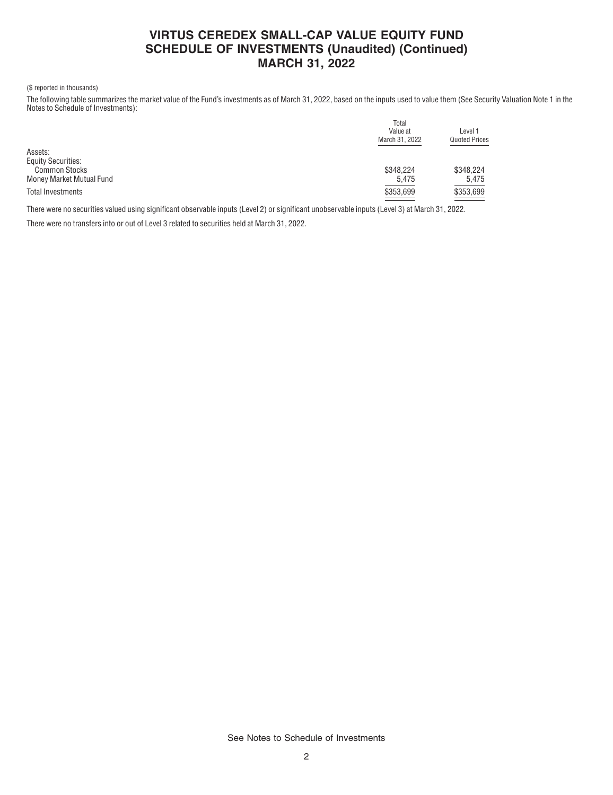# **VIRTUS CEREDEX SMALL-CAP VALUE EQUITY FUND SCHEDULE OF INVESTMENTS (Unaudited) (Continued) MARCH 31, 2022**

#### (\$ reported in thousands)

The following table summarizes the market value of the Fund's investments as of March 31, 2022, based on the inputs used to value them (See Security Valuation Note 1 in the Notes to Schedule of Investments):

|                           | Total          |                      |  |  |
|---------------------------|----------------|----------------------|--|--|
|                           | Value at       | Level 1              |  |  |
|                           | March 31, 2022 | <b>Quoted Prices</b> |  |  |
| Assets:                   |                |                      |  |  |
| <b>Equity Securities:</b> |                |                      |  |  |
| <b>Common Stocks</b>      | \$348.224      | \$348,224            |  |  |
| Money Market Mutual Fund  | 5,475          | 5,475                |  |  |
| Total Investments         | \$353.699      | \$353,699            |  |  |
|                           | --             |                      |  |  |

There were no securities valued using significant observable inputs (Level 2) or significant unobservable inputs (Level 3) at March 31, 2022.

There were no transfers into or out of Level 3 related to securities held at March 31, 2022.

See Notes to Schedule of Investments